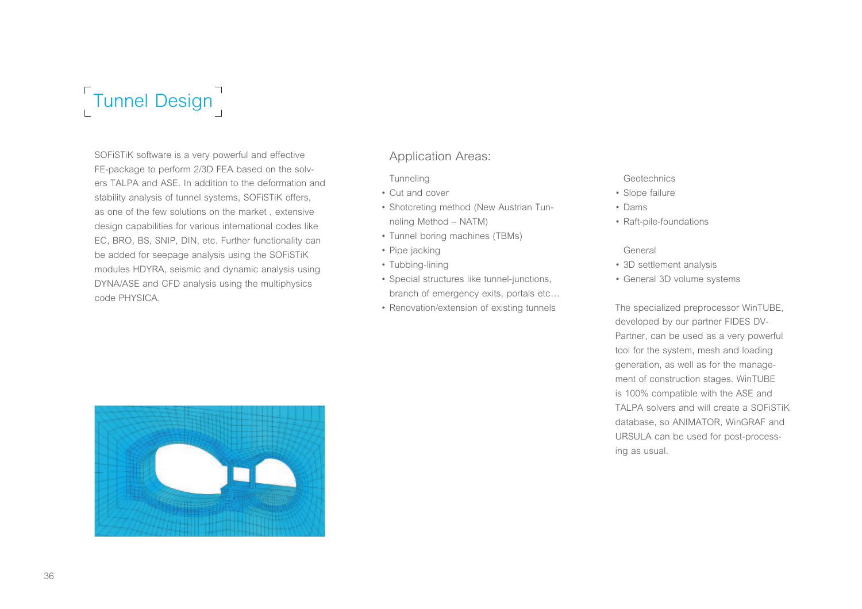

SOFiSTiK software is a very powerful and effective FE-package to perform 2/3D FEA based on the solvers TALPA and ASE. In addition to the deformation and stability analysis of tunnel systems, SOFiSTiK offers, as one of the few solutions on the market , extensive design capabilities for various international codes like EC, BRO, BS, SNIP, DIN, etc. Further functionality can be added for seepage analysis using the SOFiSTiK modules HDYRA, seismic and dynamic analysis using DYNA/ASE and CFD analysis using the multiphysics code PHYSICA.

# Application Areas:

**Tunneling** 

- Cut and cover
- Shotcreting method (New Austrian Tunneling Method – NATM)
- Tunnel boring machines (TBMs)
- Pipe jacking
- Tubbing-lining
- Special structures like tunnel-junctions, branch of emergency exits, portals etc…
- Renovation/extension of existing tunnels

### **Geotechnics**

- Slope failure
- Dams
- Raft-pile-foundations

### General

- 3D settlement analysis
- General 3D volume systems

The specialized preprocessor WinTUBE, developed by our partner FIDES DV-Partner, can be used as a very powerful tool for the system, mesh and loading generation, as well as for the management of construction stages. WinTUBE is 100% compatible with the ASE and TALPA solvers and will create a SOFiSTiK database, so ANIMATOR, WinGRAF and URSULA can be used for post-processing as usual.